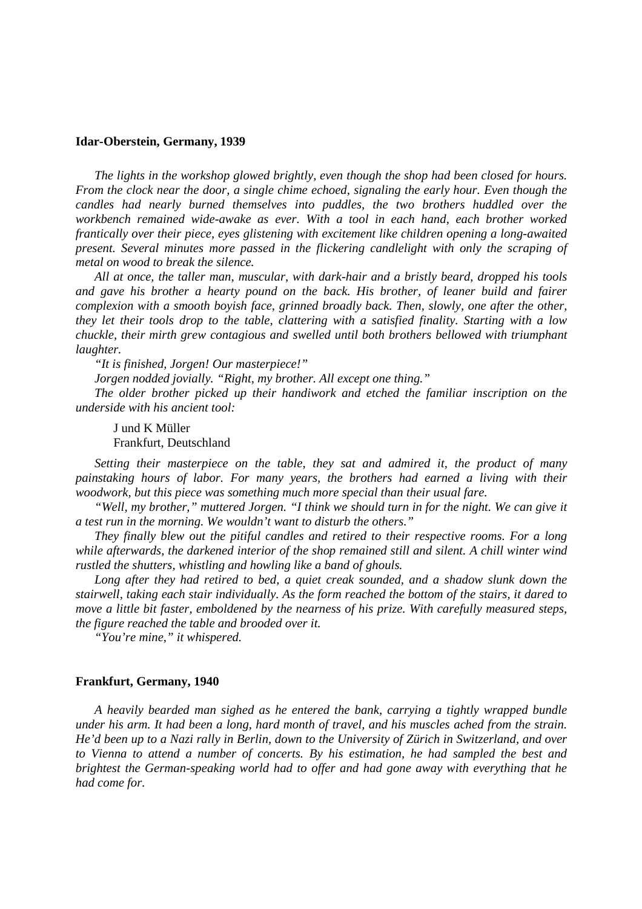## **Idar-Oberstein, Germany, 1939**

*The lights in the workshop glowed brightly, even though the shop had been closed for hours. From the clock near the door, a single chime echoed, signaling the early hour. Even though the candles had nearly burned themselves into puddles, the two brothers huddled over the workbench remained wide-awake as ever. With a tool in each hand, each brother worked frantically over their piece, eyes glistening with excitement like children opening a long-awaited present. Several minutes more passed in the flickering candlelight with only the scraping of metal on wood to break the silence.* 

*All at once, the taller man, muscular, with dark-hair and a bristly beard, dropped his tools and gave his brother a hearty pound on the back. His brother, of leaner build and fairer complexion with a smooth boyish face, grinned broadly back. Then, slowly, one after the other, they let their tools drop to the table, clattering with a satisfied finality. Starting with a low chuckle, their mirth grew contagious and swelled until both brothers bellowed with triumphant laughter.* 

*"It is finished, Jorgen! Our masterpiece!"*

*Jorgen nodded jovially. "Right, my brother. All except one thing."*

*The older brother picked up their handiwork and etched the familiar inscription on the underside with his ancient tool:*

J und K Müller Frankfurt, Deutschland

*Setting their masterpiece on the table, they sat and admired it, the product of many painstaking hours of labor. For many years, the brothers had earned a living with their woodwork, but this piece was something much more special than their usual fare.* 

*"Well, my brother," muttered Jorgen. "I think we should turn in for the night. We can give it a test run in the morning. We wouldn't want to disturb the others."*

*They finally blew out the pitiful candles and retired to their respective rooms. For a long while afterwards, the darkened interior of the shop remained still and silent. A chill winter wind rustled the shutters, whistling and howling like a band of ghouls.* 

Long after they had retired to bed, a quiet creak sounded, and a shadow slunk down the *stairwell, taking each stair individually. As the form reached the bottom of the stairs, it dared to move a little bit faster, emboldened by the nearness of his prize. With carefully measured steps, the figure reached the table and brooded over it.* 

*"You're mine," it whispered.* 

## **Frankfurt, Germany, 1940**

*A heavily bearded man sighed as he entered the bank, carrying a tightly wrapped bundle under his arm. It had been a long, hard month of travel, and his muscles ached from the strain. He'd been up to a Nazi rally in Berlin, down to the University of Zürich in Switzerland, and over to Vienna to attend a number of concerts. By his estimation, he had sampled the best and brightest the German-speaking world had to offer and had gone away with everything that he had come for.*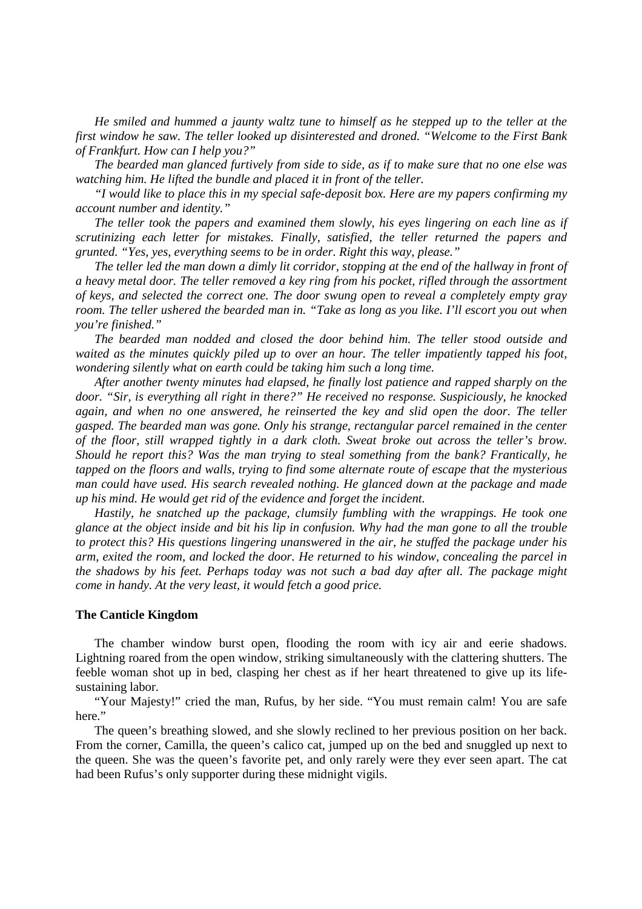*He smiled and hummed a jaunty waltz tune to himself as he stepped up to the teller at the first window he saw. The teller looked up disinterested and droned. "Welcome to the First Bank of Frankfurt. How can I help you?"* 

*The bearded man glanced furtively from side to side, as if to make sure that no one else was watching him. He lifted the bundle and placed it in front of the teller.* 

*"I would like to place this in my special safe-deposit box. Here are my papers confirming my account number and identity."* 

*The teller took the papers and examined them slowly, his eyes lingering on each line as if scrutinizing each letter for mistakes. Finally, satisfied, the teller returned the papers and grunted. "Yes, yes, everything seems to be in order. Right this way, please."* 

*The teller led the man down a dimly lit corridor, stopping at the end of the hallway in front of a heavy metal door. The teller removed a key ring from his pocket, rifled through the assortment of keys, and selected the correct one. The door swung open to reveal a completely empty gray room. The teller ushered the bearded man in. "Take as long as you like. I'll escort you out when you're finished."* 

*The bearded man nodded and closed the door behind him. The teller stood outside and waited as the minutes quickly piled up to over an hour. The teller impatiently tapped his foot, wondering silently what on earth could be taking him such a long time.* 

*After another twenty minutes had elapsed, he finally lost patience and rapped sharply on the door. "Sir, is everything all right in there?" He received no response. Suspiciously, he knocked again, and when no one answered, he reinserted the key and slid open the door. The teller gasped. The bearded man was gone. Only his strange, rectangular parcel remained in the center of the floor, still wrapped tightly in a dark cloth. Sweat broke out across the teller's brow. Should he report this? Was the man trying to steal something from the bank? Frantically, he tapped on the floors and walls, trying to find some alternate route of escape that the mysterious man could have used. His search revealed nothing. He glanced down at the package and made up his mind. He would get rid of the evidence and forget the incident.*

*Hastily, he snatched up the package, clumsily fumbling with the wrappings. He took one glance at the object inside and bit his lip in confusion. Why had the man gone to all the trouble to protect this? His questions lingering unanswered in the air, he stuffed the package under his arm, exited the room, and locked the door. He returned to his window, concealing the parcel in the shadows by his feet. Perhaps today was not such a bad day after all. The package might come in handy. At the very least, it would fetch a good price.* 

## **The Canticle Kingdom**

The chamber window burst open, flooding the room with icy air and eerie shadows. Lightning roared from the open window, striking simultaneously with the clattering shutters. The feeble woman shot up in bed, clasping her chest as if her heart threatened to give up its lifesustaining labor.

"Your Majesty!" cried the man, Rufus, by her side. "You must remain calm! You are safe here."

The queen's breathing slowed, and she slowly reclined to her previous position on her back. From the corner, Camilla, the queen's calico cat, jumped up on the bed and snuggled up next to the queen. She was the queen's favorite pet, and only rarely were they ever seen apart. The cat had been Rufus's only supporter during these midnight vigils.